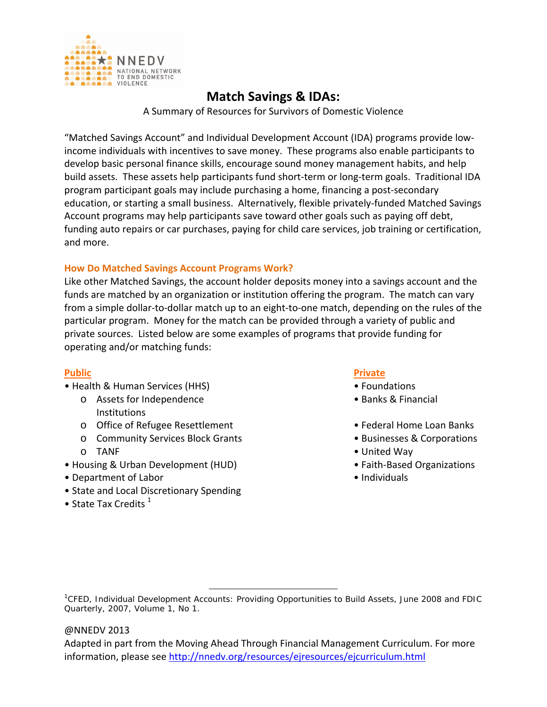

# **Match Savings & IDAs:**

A Summary of Resources for Survivors of Domestic Violence

"Matched Savings Account" and Individual Development Account (IDA) programs provide low‐ income individuals with incentives to save money. These programs also enable participants to develop basic personal finance skills, encourage sound money management habits, and help build assets. These assets help participants fund short‐term or long‐term goals. Traditional IDA program participant goals may include purchasing a home, financing a post‐secondary education, or starting a small business. Alternatively, flexible privately‐funded Matched Savings Account programs may help participants save toward other goals such as paying off debt, funding auto repairs or car purchases, paying for child care services, job training or certification, and more.

# **How Do Matched Savings Account Programs Work?**

Like other Matched Savings, the account holder deposits money into a savings account and the funds are matched by an organization or institution offering the program. The match can vary from a simple dollar‐to‐dollar match up to an eight‐to‐one match, depending on the rules of the particular program. Money for the match can be provided through a variety of public and private sources. Listed below are some examples of programs that provide funding for operating and/or matching funds:

- Health & Human Services (HHS) • Foundations
	- o Assets for Independence • Banks & Financial Institutions
	- o Office of Refugee Resettlement Federal Home Loan Banks
	- o Community Services Block Grants Businesses & Corporations
	-
- Housing & Urban Development (HUD) Faith‐Based Organizations
- Department of Labor **but a struck of Labor individuals**
- State and Local Discretionary Spending
- State Tax Credits  $<sup>1</sup>$ </sup>

# **Public Private**

- 
- 
- 
- 
- o TANF • United Way
	-
	-

## @NNEDV 2013

Adapted in part from the Moving Ahead Through Financial Management Curriculum. For more information, please see http://nnedv.org/resources/ejresources/ejcurriculum.html

 1 *CFED*, Individual Development Accounts: Providing Opportunities to Build Assets, June 2008 and *FDIC Quarterly*, 2007, Volume 1, No 1.